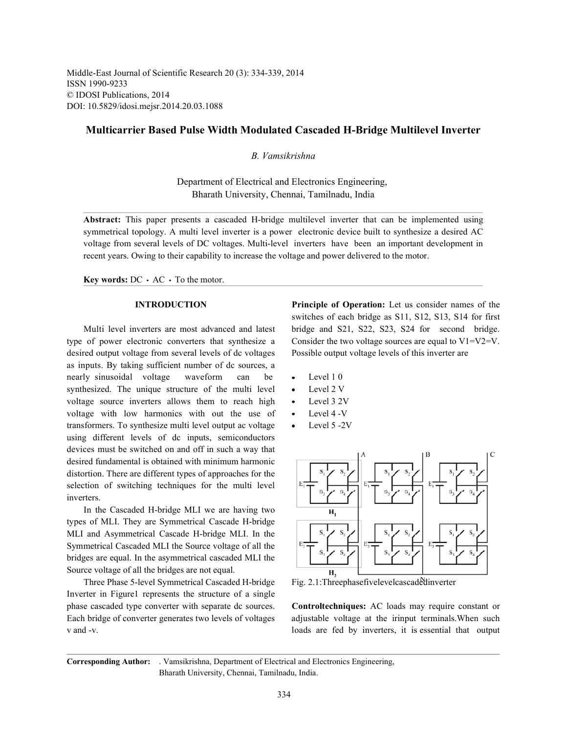Middle-East Journal of Scientific Research 20 (3): 334-339, 2014 ISSN 1990-9233 © IDOSI Publications, 2014 DOI: 10.5829/idosi.mejsr.2014.20.03.1088

# **Multicarrier Based Pulse Width Modulated Cascaded H-Bridge Multilevel Inverter**

# *B. Vamsikrishna*

Department of Electrical and Electronics Engineering, Bharath University, Chennai, Tamilnadu, India

**Abstract:** This paper presents a cascaded H-bridge multilevel inverter that can be implemented using symmetrical topology. A multi level inverter is a power electronic device built to synthesize a desired AC voltage from several levels of DC voltages. Multi-level inverters have been an important development in recent years. Owing to their capability to increase the voltage and power delivered to the motor.

**Key words:**  $DC \cdot AC \cdot To$  the motor.

type of power electronic converters that synthesize a Consider the two voltage sources are equal to V1=V2=V. desired output voltage from several levels of dc voltages Possible output voltage levels of this inverter are as inputs. By taking sufficient number of dc sources, a nearly sinusoidal voltage waveform can be • Level 10 synthesized. The unique structure of the multi level  $\bullet$  Level 2 V voltage source inverters allows them to reach high  $\cdot$  Level 3 2V voltage with low harmonics with out the use of • Level 4 -V transformers. To synthesize multi level output ac voltage • Level 5 -2V using different levels of dc inputs, semiconductors devices must be switched on and off in such a way that desired fundamental is obtained with minimum harmonic distortion. There are different types of approaches for the selection of switching techniques for the multi level inverters.

In the Cascaded H-bridge MLI we are having two types of MLI. They are Symmetrical Cascade H-bridge MLI and Asymmetrical Cascade H-bridge MLI. In the Symmetrical Cascaded MLI the Source voltage of all the bridges are equal. In the asymmetrical cascaded MLI the Source voltage of all the bridges are not equal.

Three Phase 5-level Symmetrical Cascaded H-bridge Fig. 2.1:Threephasefivelevelcascadedinverter Inverter in Figure1 represents the structure of a single phase cascaded type converter with separate dc sources. **Controltechniques:** AC loads may require constant or Each bridge of converter generates two levels of voltages adjustable voltage at the irinput terminals.When such v and -v.

**INTRODUCTION Principle of Operation:** Let us consider names of the Multi level inverters are most advanced and latest bridge and S21, S22, S23, S24 for second bridge. switches of each bridge as S11, S12, S13, S14 for first

- 
- 
- 
- 
- 



**Corresponding Author:** . Vamsikrishna, Department of Electrical and Electronics Engineering, Bharath University, Chennai, Tamilnadu, India.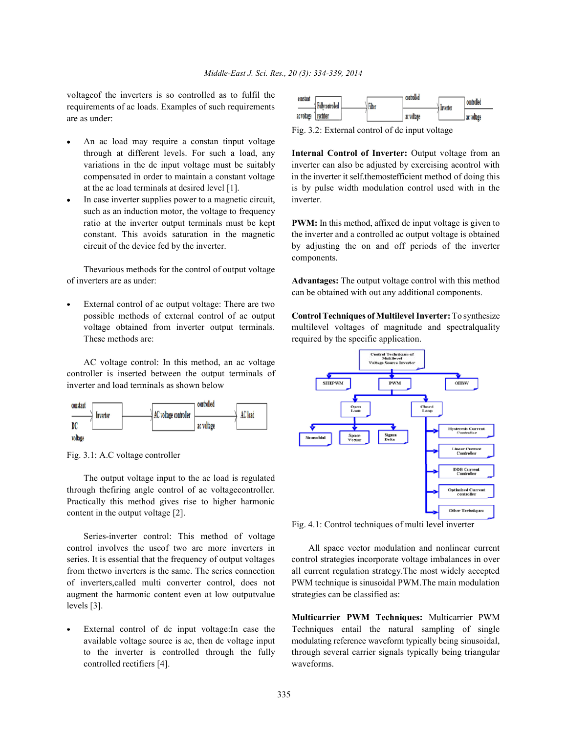voltageof the inverters is so controlled as to fulfil the requirements of ac loads. Examples of such requirements are as under:

- An ac load may require a constan tinput voltage through at different levels. For such a load, any **Internal Control of Inverter:** Output voltage from an
- In case inverter supplies power to a magnetic circuit, inverter. such as an induction motor, the voltage to frequency ratio at the inverter output terminals must be kept **PWM:** In this method, affixed dc input voltage is given to

Thevarious methods for the control of output voltage of inverters are as under: **Advantages:** The output voltage control with this method

External control of ac output voltage: There are two possible methods of external control of ac output **Control Techniques of Multilevel Inverter:** To synthesize These methods are: required by the specific application.

AC voltage control: In this method, an ac voltage controller is inserted between the output terminals of inverter and load terminals as shown below





The output voltage input to the ac load is regulated through thefiring angle control of ac voltagecontroller. Practically this method gives rise to higher harmonic content in the output voltage [2].

Series-inverter control: This method of voltage control involves the useof two are more inverters in All space vector modulation and nonlinear current augment the harmonic content even at low outputvalue strategies can be classified as: levels [3].

controlled rectifiers [4]. waveforms.

| constant             | Fullycontrolled | Filter | controlled | <b>Inverter</b> | controlled |
|----------------------|-----------------|--------|------------|-----------------|------------|
| ac voltage rectifier |                 |        | ac voltage |                 | ac voltage |

Fig. 3.2: External control of dc input voltage

variations in the dc input voltage must be suitably inverter can also be adjusted by exercising acontrol with compensated in order to maintain a constant voltage in the inverter it self.themostefficient method of doing this at the ac load terminals at desired level [1]. is by pulse width modulation control used with in the

constant. This avoids saturation in the magnetic the inverter and a controlled ac output voltage is obtained circuit of the device fed by the inverter. by adjusting the on and off periods of the inverter components.

can be obtained with out any additional components.

voltage obtained from inverter output terminals. multilevel voltages of magnitude and spectralquality



Fig. 4.1: Control techniques of multi level inverter

series. It is essential that the frequency of output voltages control strategies incorporate voltage imbalances in over from thetwo inverters is the same. The series connection all current regulation strategy.The most widely accepted of inverters,called multi converter control, does not PWM technique is sinusoidal PWM.The main modulation

External control of dc input voltage:In case the Techniques entail the natural sampling of single available voltage source is ac, then dc voltage input modulating reference waveform typically being sinusoidal, to the inverter is controlled through the fully through several carrier signals typically being triangular **Multicarrier PWM Techniques:** Multicarrier PWM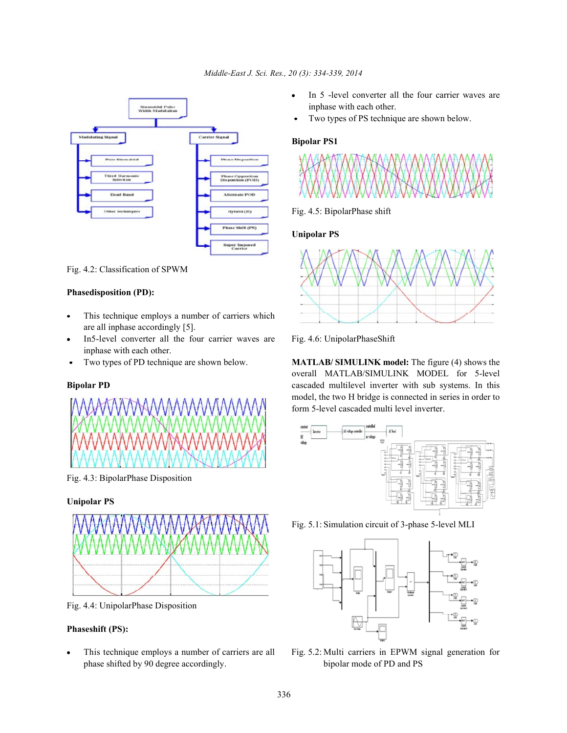

Fig. 4.2: Classification of SPWM

### **Phasedisposition (PD):**

- This technique employs a number of carriers which are all inphase accordingly [5].
- In5-level converter all the four carrier waves are Fig. 4.6: UnipolarPhaseShift inphase with each other.
- $\bullet$



Fig. 4.3: BipolarPhase Disposition

## **Unipolar PS**



Fig. 4.4: UnipolarPhase Disposition

## **Phaseshift (PS):**

phase shifted by 90 degree accordingly. bipolar mode of PD and PS

- In 5 -level converter all the four carrier waves are inphase with each other.
- Two types of PS technique are shown below.

## **Bipolar PS1**



### Fig. 4.5: BipolarPhase shift

### **Unipolar PS**



Two types of PD technique are shown below. **MATLAB/ SIMULINK model:** The figure (4) shows the **Bipolar PD** cascaded multilevel inverter with sub systems. In this overall MATLAB/SIMULINK MODEL for 5-level model, the two H bridge is connected in series in order to form 5-level cascaded multi level inverter.



Fig. 5.1: Simulation circuit of 3-phase 5-level MLI



This technique employs a number of carriers are all Fig. 5.2: Multi carriers in EPWM signal generation for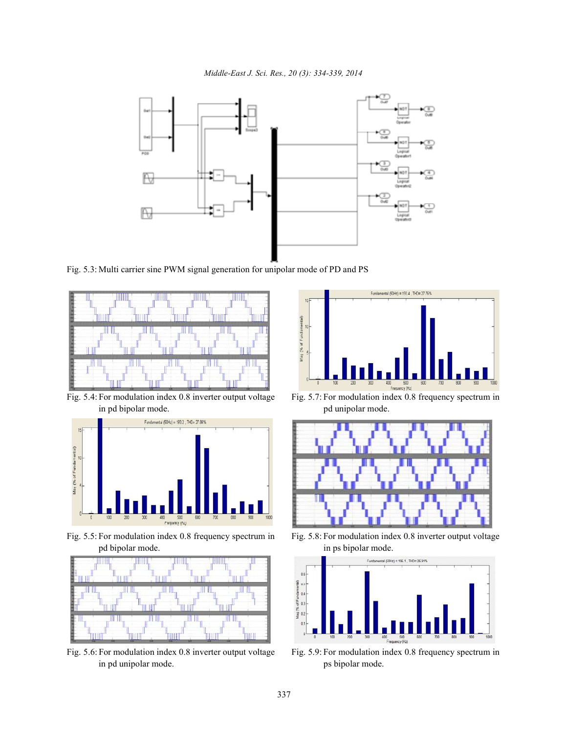

Fig. 5.3: Multi carrier sine PWM signal generation for unipolar mode of PD and PS



Fig. 5.4: For modulation index 0.8 inverter output voltage Fig. 5.7: For modulation index 0.8 frequency spectrum in in pd bipolar mode. pd unipolar mode.



pd bipolar mode. in ps bipolar mode.



Fig. 5.6: For modulation index 0.8 inverter output voltage Fig. 5.9: For modulation index 0.8 frequency spectrum in in pd unipolar mode. ps bipolar mode.





Fig. 5.5: For modulation index 0.8 frequency spectrum in Fig. 5.8: For modulation index 0.8 inverter output voltage

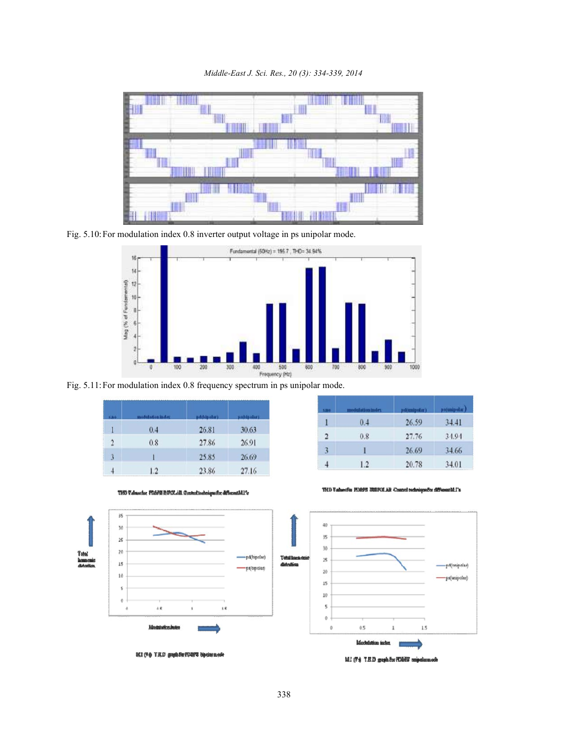



Fig. 5.10:For modulation index 0.8 inverter output voltage in ps unipolar mode.



Fig. 5.11:For modulation index 0.8 frequency spectrum in ps unipolar mode.

| <b>Cho</b>     | modulation index | pd(blpolar) | pstbipolar) |
|----------------|------------------|-------------|-------------|
|                | 0.4              | 26.81       | 30.63       |
| $\overline{2}$ | 0.8              | 27.86       | 26.91       |
| 3              |                  | 25.85       | 26.69       |
|                | 1.2              | 23.86       | 27.16       |

| <b>S.BO</b> | dulation index |       | ps(unipolar) |
|-------------|----------------|-------|--------------|
| Ī           | 0.4            | 26.59 | 34.41        |
| 2           | 0.8            | 27.76 | 34.94        |
| 3           | 1              | 26.69 | 34.66        |
|             | 1.2            | 20.78 | 34.01        |



THO Valmache: FOOPS BOYCLAR Control toolniquator different341's

THI) Values for PDRPS UNIFOLAR Connol technique for different ML's